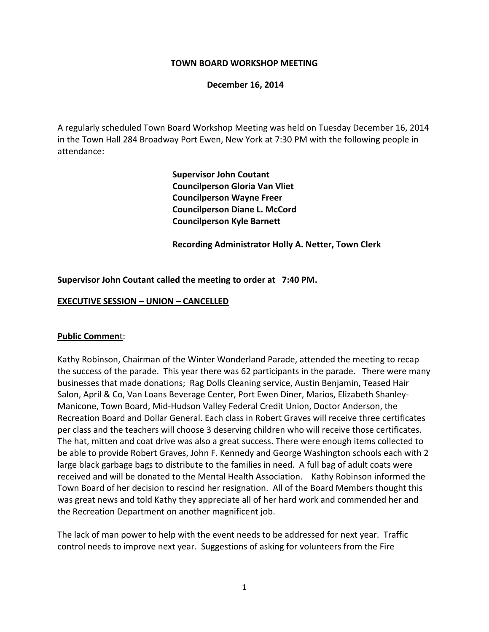### **TOWN BOARD WORKSHOP MEETING**

### **December 16, 2014**

A regularly scheduled Town Board Workshop Meeting was held on Tuesday December 16, 2014 in the Town Hall 284 Broadway Port Ewen, New York at 7:30 PM with the following people in attendance:

> **Supervisor John Coutant Councilperson Gloria Van Vliet Councilperson Wayne Freer Councilperson Diane L. McCord Councilperson Kyle Barnett**

 **Recording Administrator Holly A. Netter, Town Clerk**

### **Supervisor John Coutant called the meeting to order at 7:40 PM.**

#### **EXECUTIVE SESSION – UNION – CANCELLED**

#### **Public Commen**t:

Kathy Robinson, Chairman of the Winter Wonderland Parade, attended the meeting to recap the success of the parade. This year there was 62 participants in the parade. There were many businesses that made donations; Rag Dolls Cleaning service, Austin Benjamin, Teased Hair Salon, April & Co, Van Loans Beverage Center, Port Ewen Diner, Marios, Elizabeth Shanley‐ Manicone, Town Board, Mid‐Hudson Valley Federal Credit Union, Doctor Anderson, the Recreation Board and Dollar General. Each class in Robert Graves will receive three certificates per class and the teachers will choose 3 deserving children who will receive those certificates. The hat, mitten and coat drive was also a great success. There were enough items collected to be able to provide Robert Graves, John F. Kennedy and George Washington schools each with 2 large black garbage bags to distribute to the families in need. A full bag of adult coats were received and will be donated to the Mental Health Association. Kathy Robinson informed the Town Board of her decision to rescind her resignation. All of the Board Members thought this was great news and told Kathy they appreciate all of her hard work and commended her and the Recreation Department on another magnificent job.

The lack of man power to help with the event needs to be addressed for next year. Traffic control needs to improve next year. Suggestions of asking for volunteers from the Fire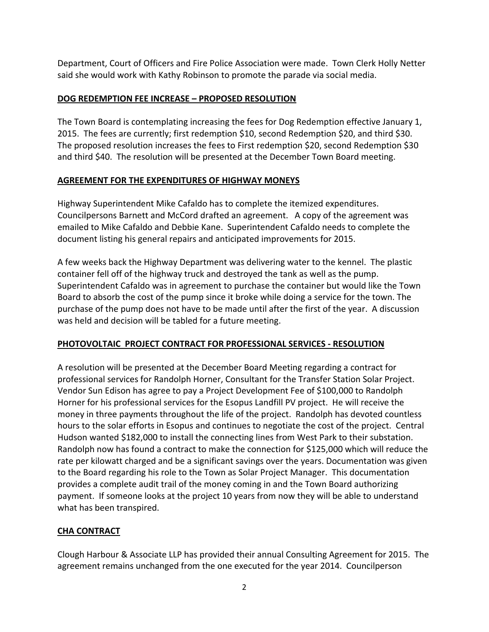Department, Court of Officers and Fire Police Association were made. Town Clerk Holly Netter said she would work with Kathy Robinson to promote the parade via social media.

# **DOG REDEMPTION FEE INCREASE – PROPOSED RESOLUTION**

The Town Board is contemplating increasing the fees for Dog Redemption effective January 1, 2015. The fees are currently; first redemption \$10, second Redemption \$20, and third \$30. The proposed resolution increases the fees to First redemption \$20, second Redemption \$30 and third \$40. The resolution will be presented at the December Town Board meeting.

# **AGREEMENT FOR THE EXPENDITURES OF HIGHWAY MONEYS**

Highway Superintendent Mike Cafaldo has to complete the itemized expenditures. Councilpersons Barnett and McCord drafted an agreement. A copy of the agreement was emailed to Mike Cafaldo and Debbie Kane. Superintendent Cafaldo needs to complete the document listing his general repairs and anticipated improvements for 2015.

A few weeks back the Highway Department was delivering water to the kennel. The plastic container fell off of the highway truck and destroyed the tank as well as the pump. Superintendent Cafaldo was in agreement to purchase the container but would like the Town Board to absorb the cost of the pump since it broke while doing a service for the town. The purchase of the pump does not have to be made until after the first of the year. A discussion was held and decision will be tabled for a future meeting.

## **PHOTOVOLTAIC PROJECT CONTRACT FOR PROFESSIONAL SERVICES ‐ RESOLUTION**

A resolution will be presented at the December Board Meeting regarding a contract for professional services for Randolph Horner, Consultant for the Transfer Station Solar Project. Vendor Sun Edison has agree to pay a Project Development Fee of \$100,000 to Randolph Horner for his professional services for the Esopus Landfill PV project. He will receive the money in three payments throughout the life of the project. Randolph has devoted countless hours to the solar efforts in Esopus and continues to negotiate the cost of the project. Central Hudson wanted \$182,000 to install the connecting lines from West Park to their substation. Randolph now has found a contract to make the connection for \$125,000 which will reduce the rate per kilowatt charged and be a significant savings over the years. Documentation was given to the Board regarding his role to the Town as Solar Project Manager. This documentation provides a complete audit trail of the money coming in and the Town Board authorizing payment. If someone looks at the project 10 years from now they will be able to understand what has been transpired.

# **CHA CONTRACT**

Clough Harbour & Associate LLP has provided their annual Consulting Agreement for 2015. The agreement remains unchanged from the one executed for the year 2014. Councilperson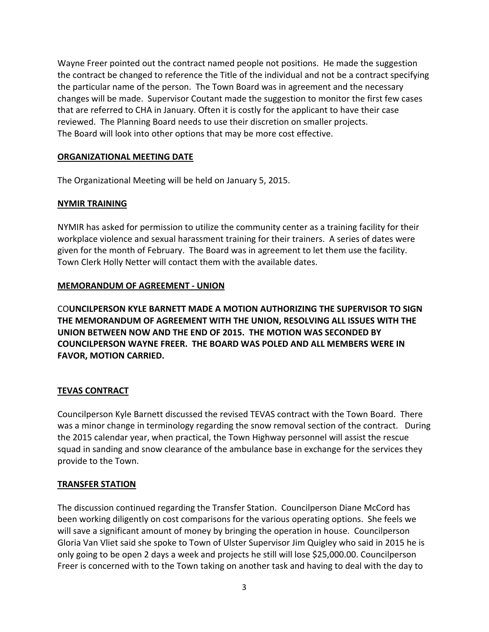Wayne Freer pointed out the contract named people not positions. He made the suggestion the contract be changed to reference the Title of the individual and not be a contract specifying the particular name of the person. The Town Board was in agreement and the necessary changes will be made. Supervisor Coutant made the suggestion to monitor the first few cases that are referred to CHA in January. Often it is costly for the applicant to have their case reviewed. The Planning Board needs to use their discretion on smaller projects. The Board will look into other options that may be more cost effective.

### **ORGANIZATIONAL MEETING DATE**

The Organizational Meeting will be held on January 5, 2015.

## **NYMIR TRAINING**

NYMIR has asked for permission to utilize the community center as a training facility for their workplace violence and sexual harassment training for their trainers. A series of dates were given for the month of February. The Board was in agreement to let them use the facility. Town Clerk Holly Netter will contact them with the available dates.

## **MEMORANDUM OF AGREEMENT ‐ UNION**

CO**UNCILPERSON KYLE BARNETT MADE A MOTION AUTHORIZING THE SUPERVISOR TO SIGN THE MEMORANDUM OF AGREEMENT WITH THE UNION, RESOLVING ALL ISSUES WITH THE UNION BETWEEN NOW AND THE END OF 2015. THE MOTION WAS SECONDED BY COUNCILPERSON WAYNE FREER. THE BOARD WAS POLED AND ALL MEMBERS WERE IN FAVOR, MOTION CARRIED.**

## **TEVAS CONTRACT**

Councilperson Kyle Barnett discussed the revised TEVAS contract with the Town Board. There was a minor change in terminology regarding the snow removal section of the contract. During the 2015 calendar year, when practical, the Town Highway personnel will assist the rescue squad in sanding and snow clearance of the ambulance base in exchange for the services they provide to the Town.

## **TRANSFER STATION**

The discussion continued regarding the Transfer Station. Councilperson Diane McCord has been working diligently on cost comparisons for the various operating options. She feels we will save a significant amount of money by bringing the operation in house. Councilperson Gloria Van Vliet said she spoke to Town of Ulster Supervisor Jim Quigley who said in 2015 he is only going to be open 2 days a week and projects he still will lose \$25,000.00. Councilperson Freer is concerned with to the Town taking on another task and having to deal with the day to